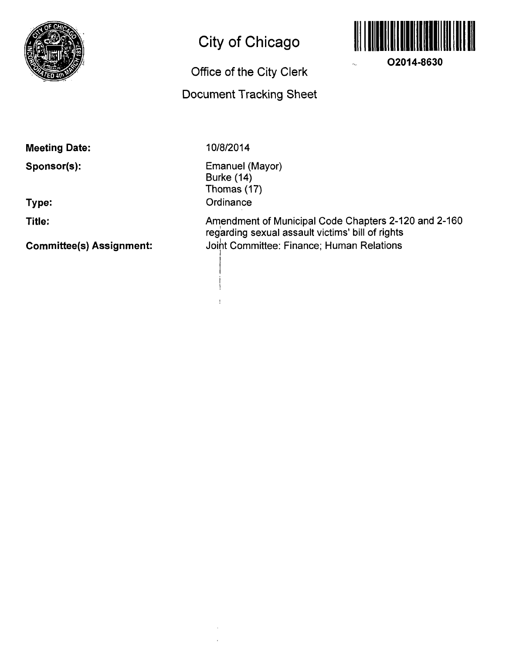

# **City of Chicago**

# **Office of the City Clerk**

# **Document Tracking Sheet**



**02014-8630** 

**Meeting Date:** 

**Sponsor(s):** 

**Type:** 

**Title:** 

**Committee(s) Assignment:** 

10/8/2014

Emanuel (Mayor) Burke (14) Thomas (17) **Ordinance** 

Amendment of Municipal Code Chapters 2-120 and 2-160 regarding sexual assault victims' bill of rights Joint Committee: Finance; Human Relations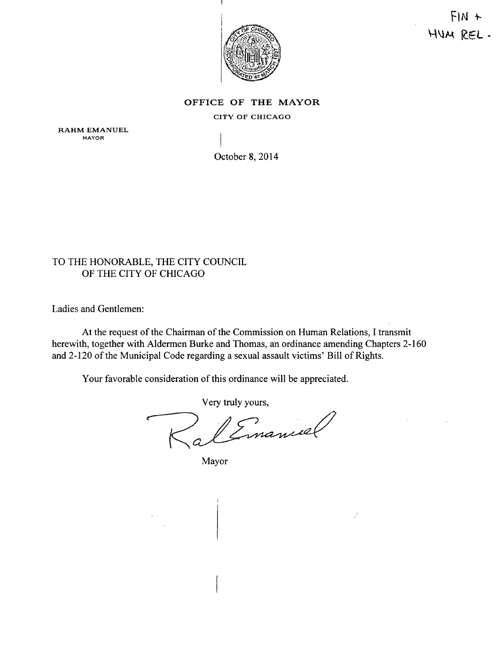

#### OFFICE OF THE MAYOR

#### CITY OF CHICAGO

RAHM EMANUEL MAYOR

October 8, 2014

## TO THE HONORABLE, THE CITY COUNCIL OF THE CITY OF CHICAGO

Ladies and Gentlemen:

At the request of the Chairman of the Commission on Human Relations, I transmit herewith, together with Aldermen Burke and Thomas, an ordinance amending Chapters 2-160 and 2-120 of the Municipal Code regarding a sexual assault victims' Bill of Rights.

Your favorable consideration of this ordinance will be appreciated.

Very truly yours. al Emanuel

J.

Mayor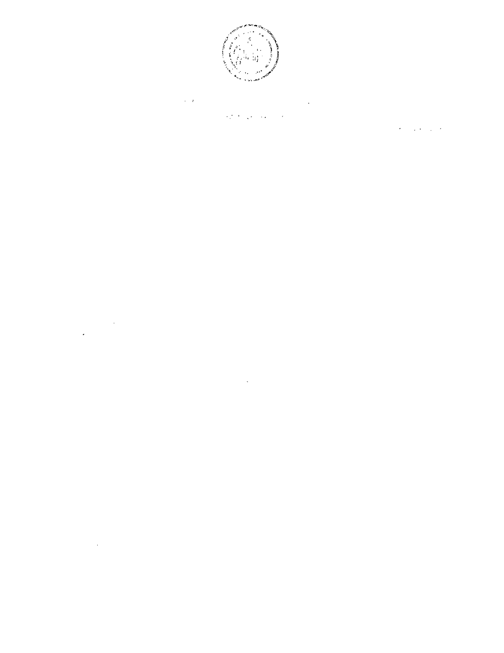

# $\label{eq:2.1} \frac{1}{2\pi\hbar^2\left(\frac{1}{2}\right)^2\left(\frac{1}{2}\right)^2}\left(\frac{1}{2}\right)^2\left(\frac{1}{2}\right)^2\left(\frac{1}{2}\right)^2\left(\frac{1}{2}\right)^2.$  $\label{eq:2} \frac{d}{dt}\left(\frac{d}{dt}\right) = \frac{1}{2\pi}\int_0^t \frac{d\theta}{dt} \left(\frac{d\theta}{dt}\right)^2 \,dt.$

 $\mathcal{O}(k)$  , where  $\mathcal{O}(k)$ 

 $\label{eq:2.1} \frac{1}{\sqrt{2\pi}}\int_{0}^{\infty}\frac{1}{\sqrt{2\pi}}\left(\frac{1}{\sqrt{2\pi}}\right)^{2}d\mu\,d\mu\,.$ 

 $\label{eq:2.1} \frac{1}{\sqrt{2\pi}}\int_{\mathbb{R}^3}\frac{1}{\sqrt{2\pi}}\left(\frac{1}{\sqrt{2\pi}}\right)^2\frac{1}{\sqrt{2\pi}}\int_{\mathbb{R}^3}\frac{1}{\sqrt{2\pi}}\frac{1}{\sqrt{2\pi}}\frac{1}{\sqrt{2\pi}}\frac{1}{\sqrt{2\pi}}\frac{1}{\sqrt{2\pi}}\frac{1}{\sqrt{2\pi}}\frac{1}{\sqrt{2\pi}}\frac{1}{\sqrt{2\pi}}\frac{1}{\sqrt{2\pi}}\frac{1}{\sqrt{2\pi}}\frac{1}{\sqrt{2\pi}}\frac{$ 

 $\mathcal{L}(\mathcal{L}^{\mathcal{L}})$  and  $\mathcal{L}(\mathcal{L}^{\mathcal{L}})$  and  $\mathcal{L}(\mathcal{L}^{\mathcal{L}})$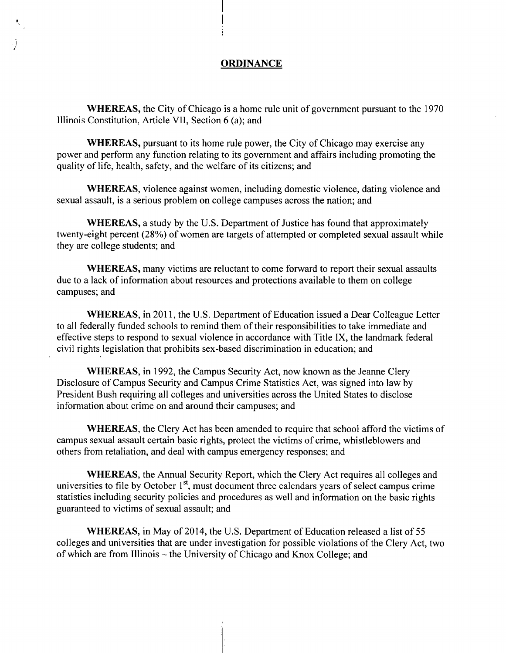### **ORDINANCE**

WHEREAS, the City of Chicago is a home rule unit of government pursuant to the 1970 Illinois Constitution, Article VII, Section 6 (a); and

WHEREAS, pursuant to its home rule power, the City of Chicago may exercise any power and perform any function relating to its govemment and affairs including promoting the quality of life, health, safety, and the welfare of its citizens; and

WHEREAS, violence against women, including domestic violence, dating violence and sexual assault, is a serious problem on college campuses across the nation; and

WHEREAS, a study by the U.S. Department of Justice has found that approximately twenty-eight percent (28%) of women are targets of attempted or completed sexual assault while they are college students; and

WHEREAS, many victims are reluctant to come forward to report their sexual assaults due to a lack of information about resources and protections available to them on college campuses; and

WHEREAS, in 2011, the U.S. Department of Education issued a Dear Colleague Letter to all federally funded schools to remind them of their responsibilities to take immediate and effective steps to respond to sexual violence in accordance with Title IX, the landmark federal civil rights legislation that prohibits sex-based discrimination in education; and

WHEREAS, in 1992, the Campus Security Act, now known as the Jeanne Clery Disclosure of Campus Security and Campus Crime Statistics Act, was signed into law by President Bush requiring all colleges and universities across the United States to disclose information about crime on and around their campuses; and

WHEREAS, the Clery Act has been amended to require that school afford the victims of campus sexual assault certain basic rights, protect the victims of crime, whistleblowers and others from retaliation, and deal with campus emergency responses; and

WHEREAS, the Annual Security Report, which the Clery Act requires all colleges and universities to file by October  $1<sup>st</sup>$ , must document three calendars years of select campus crime statistics including security policies and procedures as well and information on the basic rights guaranteed to victims of sexual assault; and

WHEREAS, in May of 2014, the U.S. Department of Education released a list of 55 colleges and universities that are under investigation for possible violations of the Clery Act, two of which are from Illinois - the University of Chicago and Knox College; and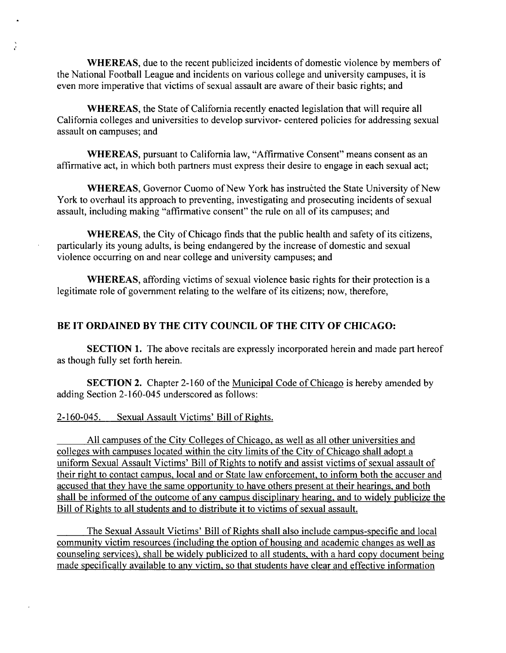WHEREAS, due to the recent publicized incidents of domestic violence by members of the National Football League and incidents on various college and university campuses, it is even more imperative that victims of sexual assault are aware of their basic rights; and

WHEREAS, the State of Califomia recently enacted legislation that will require all Califomia colleges and universities to develop survivor- centered policies for addressing sexual assault on campuses; and

WHEREAS, pursuant to Califomia law, "Affirmative Consent" means consent as an affirmative act, in which both partners must express their desire to engage in each sexual act;

WHEREAS, Governor Cuomo of New York has instructed the State University of New York to overhaul its approach to preventing, investigating and prosecuting incidents of sexual assault, including making "affirmative consent" the mle on all of its campuses; and

WHEREAS, the City of Chicago finds that the public health and safety of its citizens, particularly its young adults, is being endangered by the increase of domestic and sexual violence occurring on and near college and university campuses; and

WHEREAS, affording victims of sexual violence basic rights for their protection is a legitimate role of govemment relating to the welfare of its citizens; now, therefore.

## **BE IT ORDAINED BY THE CITY COUNCIL OF THE CITY OF CHICAGO:**

SECTION 1. The above recitals are expressly incorporated herein and made part hereof as though fully set forth herein.

SECTION 2. Chapter 2-160 of the Municipal Code of Chicago is hereby amended by adding Section 2-160-045 underscored as follows:

## 2-160-045. Sexual Assault Vicfims' Bill of Rights.

All campuses of the City Colleges of Chicago, as well as all other universities and colleges with campuses located within the city limits of the City of Chicago shall adopt a uniform Sexual Assault Victims' Bill of Rights to notify and assist victims of sexual assault of their right to contact campus, local and or State law enforcement, to inform both the accuser and accused that they have the same opportunity to have others present at their hearings, and both shall be informed of the outcome of any campus disciplinary hearing, and to widely publicize the Bill of Rights to all students and to distribute it to victims of sexual assault.

The Sexual Assault Victims' Bill of Rights shall also include campus-specific and local community victim resources (including the option of housing and academic changes as well as counseling services'), shall be widely publicized to all students, with a hard copy document being made specifically available to any victim, so that students have clear and effective information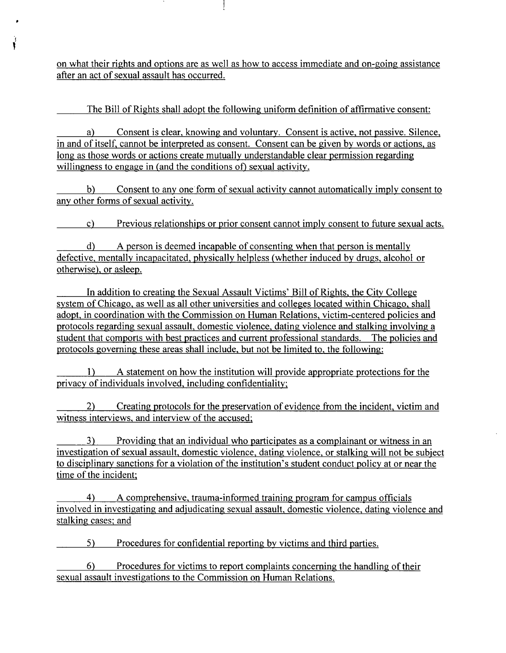on what their rights and options are as well as how to access immediate and on-going assistance after an act of sexual assault has occurred.

The Bill of Rights shall adopt the following uniform definition of affirmative consent:

a) Consent is clear, knowing and voluntary. Consent is active, not passive. Silence, in and of itself, cannot be interpreted as consent. Consent can be given by words or actions, as long as those words or actions create mutually understandable clear permission regarding willingness to engage in (and the conditions of) sexual activity.

b) Consent to any one form of sexual activity cannot automatically imply consent to any other forms of sexual activity.

c) Previous relationships or prior consent cannot imply consent to future sexual acts.

d) A person is deemed incapable of consenting when that person is mentally defective, mentally incapacitated, physically helpless (whether induced by drugs, alcohol or otherwise), or asleep.

In addition to creating the Sexual Assault Victims' Bill of Rights, the Citv College system of Chicago, as well as all other universities and colleges located within Chicago, shall adopt, in coordination with the Commission on Human Relations, victim-centered policies and protocols regarding sexual assault, domestic violence, dating violence and stalking involving a student that comports with best practices and current professional standards. The policies and protocols goveming these areas shall include, but not be limited to. the following:

1) A statement on how the institution will provide appropriate protections for the privacy of individuals involved, including confidentiality;

2) Creating protocols for the preservation of evidence from the incident, victim and witness interviews, and interview of the accused;

3) Providing that an individual who participates as a complainant or witness in an investigation of sexual assault, domestic violence, dating violence, or stalking will not be subject to disciplinary sanctions for a violation of the institution's student conduct policy at or near the time of the incident;

4) A comprehensive, trauma-informed training program for campus officials involved in investigating and adjudicating sexual assault, domestic violence, dating violence and stalking cases; and

5) Procedures for confidential reporting by victims and third parties.

6) Procedures for victims to report complaints concerning the handling of their sexual assault investigations to the Commission on Human Relations.